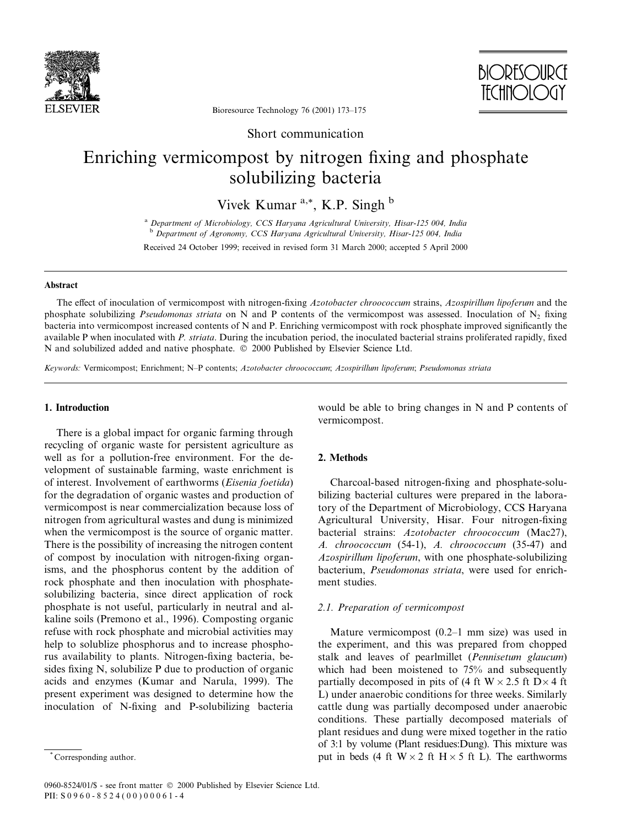



Bioresource Technology 76 (2001) 173-175

Short communication

# Enriching vermicompost by nitrogen fixing and phosphate solubilizing bacteria

Vivek Kumar  $a^*$ , K.P. Singh  $b$ 

<sup>a</sup> Department of Microbiology, CCS Haryana Agricultural University, Hisar-125 004, India b Department of Agronomy, CCS Haryana Agricultural University, Hisar-125 004, India

Received 24 October 1999; received in revised form 31 March 2000; accepted 5 April 2000

#### Abstract

The effect of inoculation of vermicompost with nitrogen-fixing Azotobacter chroococcum strains, Azospirillum lipoferum and the phosphate solubilizing *Pseudomonas striata* on N and P contents of the vermicompost was assessed. Inoculation of N<sub>2</sub> fixing bacteria into vermicompost increased contents of N and P. Enriching vermicompost with rock phosphate improved significantly the available P when inoculated with P. striata. During the incubation period, the inoculated bacterial strains proliferated rapidly, fixed N and solubilized added and native phosphate.  $© 2000$  Published by Elsevier Science Ltd.

Keywords: Vermicompost; Enrichment; N-P contents; Azotobacter chroococcum; Azospirillum lipoferum; Pseudomonas striata

#### 1. Introduction

There is a global impact for organic farming through recycling of organic waste for persistent agriculture as well as for a pollution-free environment. For the development of sustainable farming, waste enrichment is of interest. Involvement of earthworms (Eisenia foetida) for the degradation of organic wastes and production of vermicompost is near commercialization because loss of nitrogen from agricultural wastes and dung is minimized when the vermicompost is the source of organic matter. There is the possibility of increasing the nitrogen content of compost by inoculation with nitrogen-fixing organisms, and the phosphorus content by the addition of rock phosphate and then inoculation with phosphatesolubilizing bacteria, since direct application of rock phosphate is not useful, particularly in neutral and alkaline soils (Premono et al., 1996). Composting organic refuse with rock phosphate and microbial activities may help to solublize phosphorus and to increase phosphorus availability to plants. Nitrogen-fixing bacteria, besides fixing  $N$ , solubilize  $P$  due to production of organic acids and enzymes (Kumar and Narula, 1999). The present experiment was designed to determine how the inoculation of N-fixing and P-solubilizing bacteria

would be able to bring changes in N and P contents of vermicompost.

## 2. Methods

Charcoal-based nitrogen-fixing and phosphate-solubilizing bacterial cultures were prepared in the laboratory of the Department of Microbiology, CCS Haryana Agricultural University, Hisar, Four nitrogen-fixing bacterial strains: Azotobacter chroococcum (Mac27), A. chroococcum (54-1), A. chroococcum (35-47) and Azospirillum lipoferum, with one phosphate-solubilizing bacterium, Pseudomonas striata, were used for enrichment studies.

### 2.1. Preparation of vermicompost

Mature vermicompost  $(0.2-1 \text{ mm size})$  was used in the experiment, and this was prepared from chopped stalk and leaves of pearlmillet (Pennisetum glaucum) which had been moistened to 75% and subsequently partially decomposed in pits of (4 ft  $W \times 2.5$  ft  $D \times 4$  ft L) under anaerobic conditions for three weeks. Similarly cattle dung was partially decomposed under anaerobic conditions. These partially decomposed materials of plant residues and dung were mixed together in the ratio of 3:1 by volume (Plant residues:Dung). This mixture was put in beds (4 ft  $W \times 2$  ft  $H \times 5$  ft L). The earthworms

Corresponding author.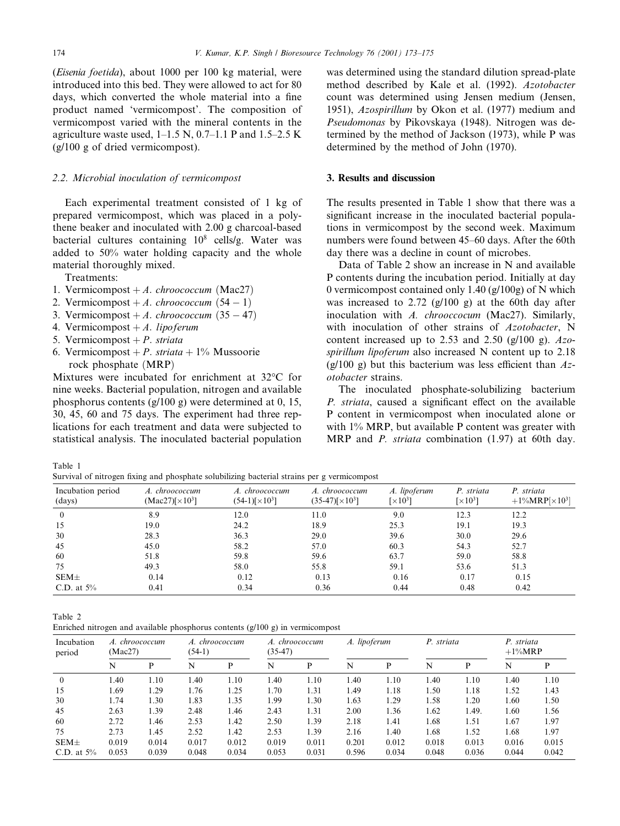(Eisenia foetida), about 1000 per 100 kg material, were introduced into this bed. They were allowed to act for 80 days, which converted the whole material into a fine product named `vermicompost'. The composition of vermicompost varied with the mineral contents in the agriculture waste used,  $1-1.5$  N,  $0.7-1.1$  P and  $1.5-2.5$  K (g/100 g of dried vermicompost).

#### 2.2. Microbial inoculation of vermicompost

Each experimental treatment consisted of 1 kg of prepared vermicompost, which was placed in a polythene beaker and inoculated with 2.00 g charcoal-based bacterial cultures containing  $10^8$  cells/g. Water was added to 50% water holding capacity and the whole material thoroughly mixed.

Treatments:

- 1. Vermicompost  $+A.$  *chroococcum* (Mac27)
- 2. Vermicompost  $+A.$  *chroococcum*  $(54 1)$
- 3. Vermicompost  $+A.$  chroococcum  $(35 47)$
- 4. Vermicompost  $+A$ . lipoferum
- 5. Vermicompost  $+ P$ . striata
- 6. Vermicompost + P. striata +  $1\%$  Mussoorie rock phosphate (MRP)

Mixtures were incubated for enrichment at 32°C for nine weeks. Bacterial population, nitrogen and available phosphorus contents (g/100 g) were determined at 0, 15, 30, 45, 60 and 75 days. The experiment had three replications for each treatment and data were subjected to statistical analysis. The inoculated bacterial population

was determined using the standard dilution spread-plate method described by Kale et al. (1992). Azotobacter count was determined using Jensen medium (Jensen, 1951), Azospirillum by Okon et al. (1977) medium and Pseudomonas by Pikovskaya (1948). Nitrogen was determined by the method of Jackson (1973), while P was determined by the method of John (1970).

## 3. Results and discussion

The results presented in Table 1 show that there was a significant increase in the inoculated bacterial populations in vermicompost by the second week. Maximum numbers were found between 45-60 days. After the 60th day there was a decline in count of microbes.

Data of Table 2 show an increase in N and available P contents during the incubation period. Initially at day 0 vermicompost contained only 1.40 (g/100g) of N which was increased to 2.72 (g/100 g) at the 60th day after inoculation with A. chrooccocum (Mac27). Similarly, with inoculation of other strains of Azotobacter, N content increased up to 2.53 and 2.50 (g/100 g).  $Azo$ spirillum lipoferum also increased N content up to 2.18  $(g/100)$  g) but this bacterium was less efficient than Azotobacter strains.

The inoculated phosphate-solubilizing bacterium P. striata, caused a significant effect on the available P content in vermicompost when inoculated alone or with 1% MRP, but available P content was greater with MRP and P. striata combination (1.97) at 60th day.

Table 1

Survival of nitrogen fixing and phosphate solubilizing bacterial strains per g vermicomposition

| Incubation period<br>(days) | A. chroococcum<br>$(Mac27)[\times 10^3]$ | A. chroococcum<br>$(54-1)[\times 10^3]$ | A. chroococcum<br>$(35-47)[\times 10^3]$ | A. lipoferum<br>$\lceil \times 10^3 \rceil$ | P. striata<br>$\lceil \times 10^3 \rceil$ | P. striata<br>+1\%MRP[ $\times$ 10 <sup>3</sup> ] |  |
|-----------------------------|------------------------------------------|-----------------------------------------|------------------------------------------|---------------------------------------------|-------------------------------------------|---------------------------------------------------|--|
| $\theta$                    | 8.9                                      | 12.0                                    | 11.0                                     | 9.0                                         | 12.3                                      | 12.2                                              |  |
| 15                          | 19.0                                     | 24.2                                    | 18.9                                     | 25.3                                        | 19.1                                      | 19.3                                              |  |
| 30                          | 28.3                                     | 36.3                                    | 29.0                                     | 39.6                                        | 30.0                                      | 29.6                                              |  |
| 45                          | 45.0                                     | 58.2                                    | 57.0                                     | 60.3                                        | 54.3                                      | 52.7                                              |  |
| 60                          | 51.8                                     | 59.8                                    | 59.6                                     | 63.7                                        | 59.0                                      | 58.8                                              |  |
| 75                          | 49.3                                     | 58.0                                    | 55.8                                     | 59.1                                        | 53.6                                      | 51.3                                              |  |
| $SEM\pm$                    | 0.14                                     | 0.12                                    | 0.13                                     | 0.16                                        | 0.17                                      | 0.15                                              |  |
| C.D. at $5\%$               | 0.41                                     | 0.34                                    | 0.36                                     | 0.44                                        | 0.48                                      | 0.42                                              |  |

Table 2

| Enriched nitrogen and available phosphorus contents $(g/100 g)$ in vermicompost |  |
|---------------------------------------------------------------------------------|--|
|---------------------------------------------------------------------------------|--|

| Incubation<br>period | A. chroococcum<br>(Mac27) |       | A. chroococcum<br>$(54-1)$ |       | A. chroococcum<br>$(35-47)$ |       | A. lipoferum |       | P. striata |       | P. striata<br>$+1\%MRP$ |       |
|----------------------|---------------------------|-------|----------------------------|-------|-----------------------------|-------|--------------|-------|------------|-------|-------------------------|-------|
|                      | N                         | P     | N                          | P     | N                           | P     | N            | P     | N          | P     | N                       | P     |
| $\mathbf{0}$         | 1.40                      | 1.10  | l.40                       | 1.10  | 1.40                        | 1.10  | 1.40         | 1.10  | 1.40       | 1.10  | 1.40                    | 1.10  |
| 15                   | 1.69                      | 1.29  | 1.76                       | 1.25  | 1.70                        | 1.31  | 1.49         | 1.18  | 1.50       | 1.18  | 1.52                    | 1.43  |
| 30                   | 1.74                      | 1.30  | 1.83                       | 1.35  | 1.99                        | 1.30  | 1.63         | 1.29  | 1.58       | 1.20  | 1.60                    | 1.50  |
| 45                   | 2.63                      | 1.39  | 2.48                       | 1.46  | 2.43                        | 1.31  | 2.00         | 1.36  | 1.62       | 1.49. | 1.60                    | 1.56  |
| 60                   | 2.72                      | 1.46  | 2.53                       | 1.42  | 2.50                        | 1.39  | 2.18         | 1.41  | 1.68       | 1.51  | 1.67                    | 1.97  |
| 75                   | 2.73                      | 1.45  | 2.52                       | 1.42  | 2.53                        | 1.39  | 2.16         | 1.40  | 1.68       | 1.52  | 1.68                    | 1.97  |
| $SEM\pm$             | 0.019                     | 0.014 | 0.017                      | 0.012 | 0.019                       | 0.011 | 0.201        | 0.012 | 0.018      | 0.013 | 0.016                   | 0.015 |
| C.D. at $5\%$        | 0.053                     | 0.039 | 0.048                      | 0.034 | 0.053                       | 0.031 | 0.596        | 0.034 | 0.048      | 0.036 | 0.044                   | 0.042 |